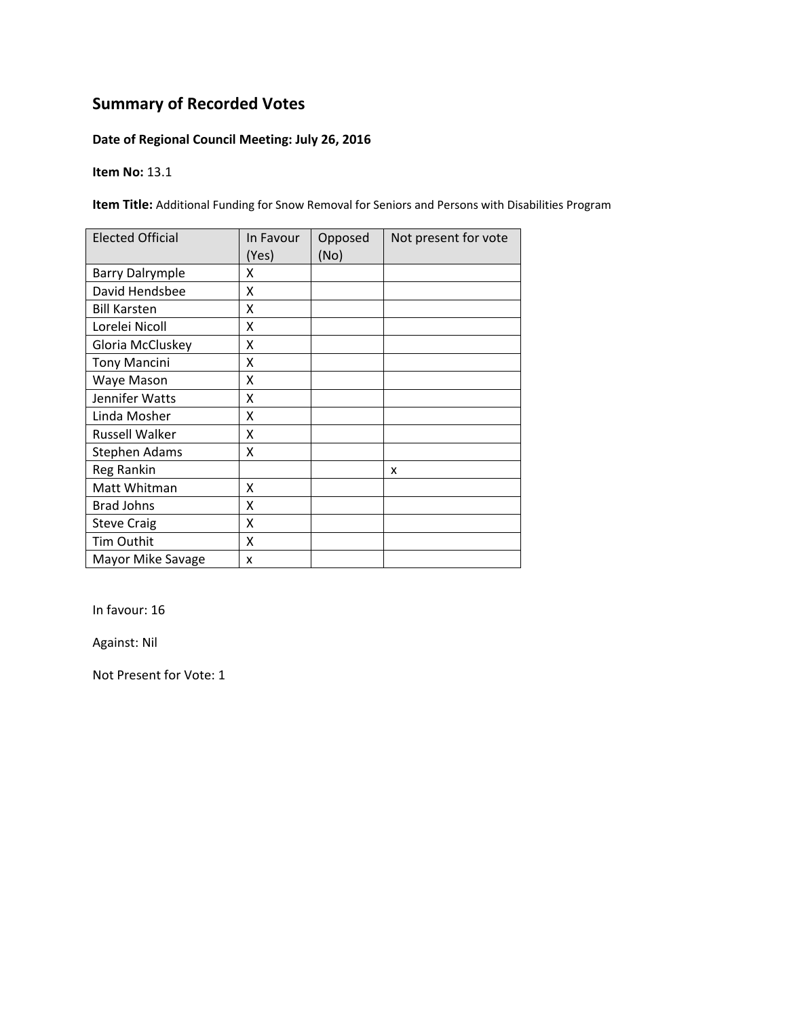### **Date of Regional Council Meeting: July 26, 2016**

#### **Item No:** 13.1

**Item Title:** Additional Funding for Snow Removal for Seniors and Persons with Disabilities Program

| <b>Elected Official</b> | In Favour<br>(Yes) | Opposed<br>(No) | Not present for vote |
|-------------------------|--------------------|-----------------|----------------------|
| <b>Barry Dalrymple</b>  | x                  |                 |                      |
| David Hendsbee          | X                  |                 |                      |
| <b>Bill Karsten</b>     | X                  |                 |                      |
| Lorelei Nicoll          | X                  |                 |                      |
| Gloria McCluskey        | Χ                  |                 |                      |
| <b>Tony Mancini</b>     | Χ                  |                 |                      |
| Waye Mason              | Χ                  |                 |                      |
| Jennifer Watts          | x                  |                 |                      |
| Linda Mosher            | X                  |                 |                      |
| Russell Walker          | X                  |                 |                      |
| <b>Stephen Adams</b>    | X                  |                 |                      |
| Reg Rankin              |                    |                 | x                    |
| Matt Whitman            | X                  |                 |                      |
| <b>Brad Johns</b>       | X                  |                 |                      |
| <b>Steve Craig</b>      | X                  |                 |                      |
| Tim Outhit              | X                  |                 |                      |
| Mayor Mike Savage       | x                  |                 |                      |

In favour: 16

Against: Nil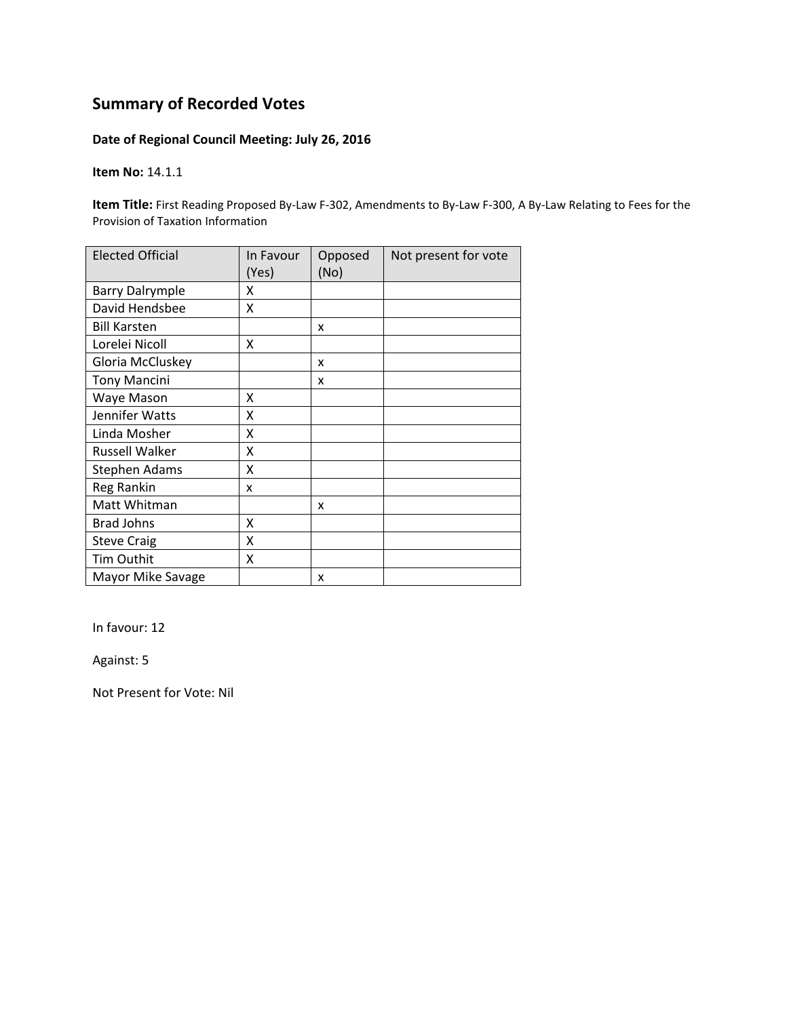### **Date of Regional Council Meeting: July 26, 2016**

**Item No:** 14.1.1

**Item Title:** First Reading Proposed By‐Law F‐302, Amendments to By‐Law F‐300, A By‐Law Relating to Fees for the Provision of Taxation Information

| <b>Elected Official</b> | In Favour<br>(Yes) | Opposed<br>(No) | Not present for vote |
|-------------------------|--------------------|-----------------|----------------------|
| <b>Barry Dalrymple</b>  | x                  |                 |                      |
| David Hendsbee          | X                  |                 |                      |
| <b>Bill Karsten</b>     |                    | x               |                      |
| Lorelei Nicoll          | X                  |                 |                      |
| Gloria McCluskey        |                    | x               |                      |
| <b>Tony Mancini</b>     |                    | x               |                      |
| Waye Mason              | X                  |                 |                      |
| Jennifer Watts          | X                  |                 |                      |
| Linda Mosher            | X                  |                 |                      |
| Russell Walker          | X                  |                 |                      |
| Stephen Adams           | Χ                  |                 |                      |
| Reg Rankin              | x                  |                 |                      |
| Matt Whitman            |                    | x               |                      |
| <b>Brad Johns</b>       | X                  |                 |                      |
| <b>Steve Craig</b>      | Χ                  |                 |                      |
| Tim Outhit              | X                  |                 |                      |
| Mayor Mike Savage       |                    | x               |                      |

In favour: 12

Against: 5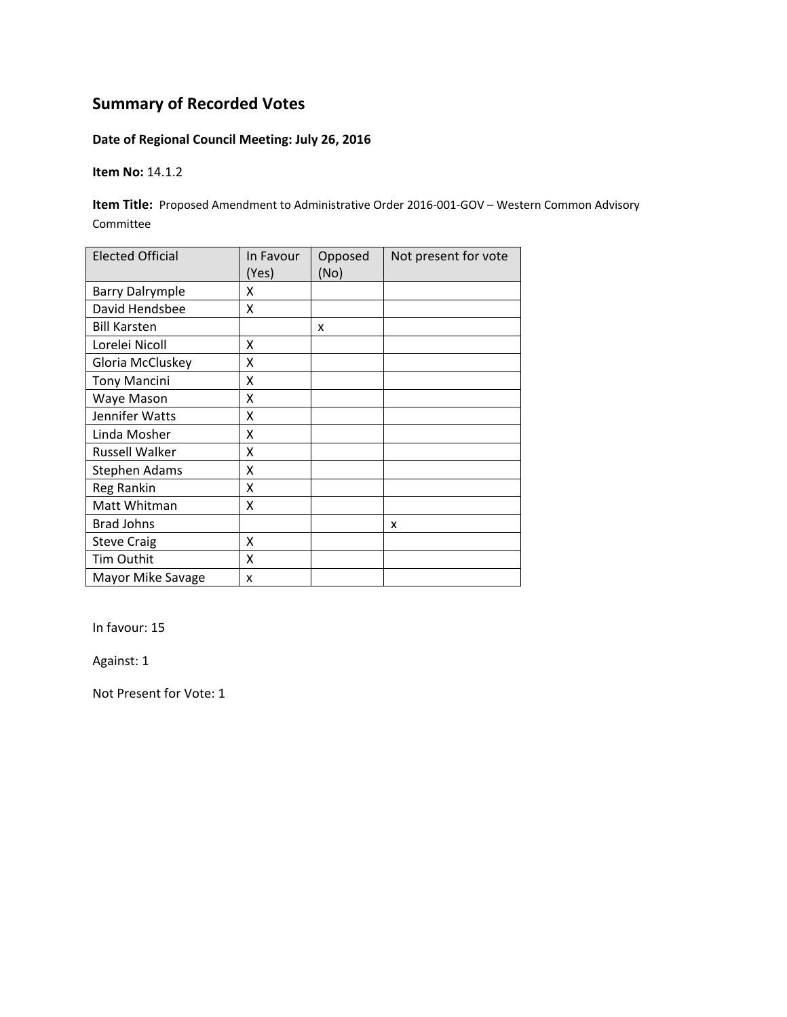### **Date of Regional Council Meeting: July 26, 2016**

**Item No:** 14.1.2

**Item Title:** Proposed Amendment to Administrative Order 2016-001-GOV – Western Common Advisory Committee

| <b>Elected Official</b> | In Favour<br>(Yes) | Opposed<br>(No) | Not present for vote |
|-------------------------|--------------------|-----------------|----------------------|
| <b>Barry Dalrymple</b>  | x                  |                 |                      |
| David Hendsbee          | x                  |                 |                      |
| <b>Bill Karsten</b>     |                    | X               |                      |
| Lorelei Nicoll          | x                  |                 |                      |
| Gloria McCluskey        | Χ                  |                 |                      |
| <b>Tony Mancini</b>     | Χ                  |                 |                      |
| Waye Mason              | Χ                  |                 |                      |
| Jennifer Watts          | Χ                  |                 |                      |
| Linda Mosher            | Χ                  |                 |                      |
| <b>Russell Walker</b>   | Χ                  |                 |                      |
| Stephen Adams           | Χ                  |                 |                      |
| <b>Reg Rankin</b>       | Χ                  |                 |                      |
| Matt Whitman            | Χ                  |                 |                      |
| <b>Brad Johns</b>       |                    |                 | x                    |
| <b>Steve Craig</b>      | X                  |                 |                      |
| Tim Outhit              | X                  |                 |                      |
| Mayor Mike Savage       | x                  |                 |                      |

In favour: 15

Against: 1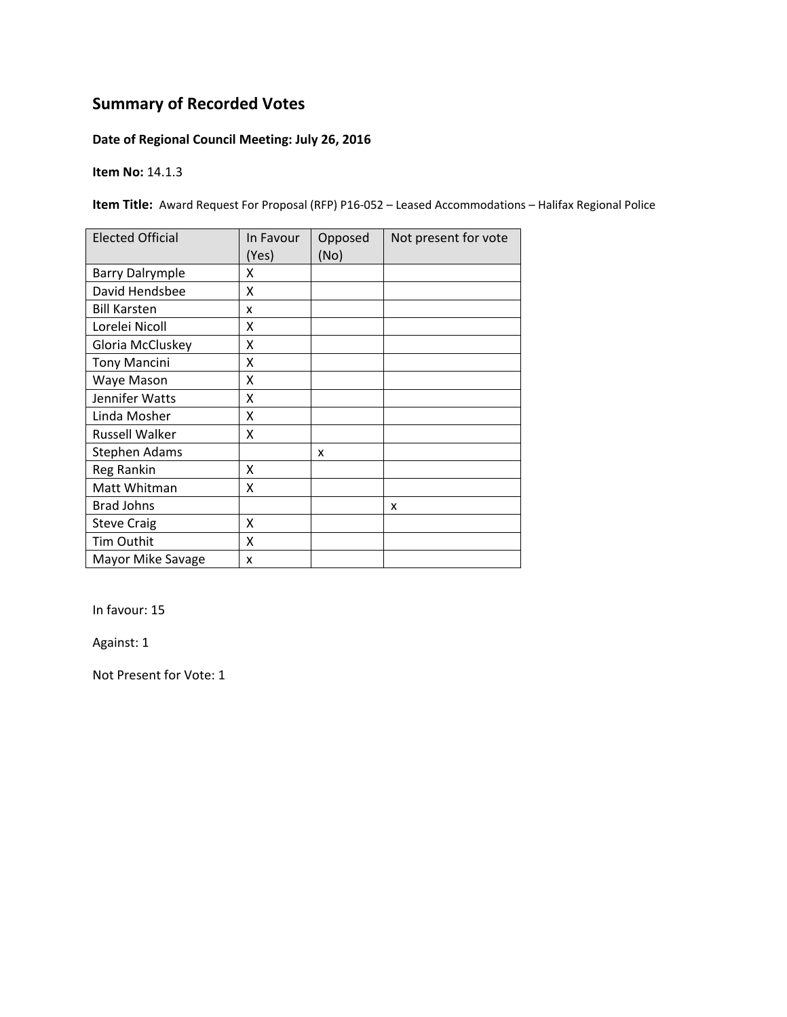### **Date of Regional Council Meeting: July 26, 2016**

**Item No:** 14.1.3

**Item Title:** Award Request For Proposal (RFP) P16-052 – Leased Accommodations – Halifax Regional Police

| <b>Elected Official</b> | In Favour<br>(Yes) | Opposed<br>(No) | Not present for vote |
|-------------------------|--------------------|-----------------|----------------------|
| <b>Barry Dalrymple</b>  | x                  |                 |                      |
| David Hendsbee          | X                  |                 |                      |
| <b>Bill Karsten</b>     | x                  |                 |                      |
| Lorelei Nicoll          | x                  |                 |                      |
| Gloria McCluskey        | Χ                  |                 |                      |
| <b>Tony Mancini</b>     | Χ                  |                 |                      |
| Waye Mason              | x                  |                 |                      |
| Jennifer Watts          | x                  |                 |                      |
| Linda Mosher            | x                  |                 |                      |
| Russell Walker          | Χ                  |                 |                      |
| <b>Stephen Adams</b>    |                    | x               |                      |
| Reg Rankin              | x                  |                 |                      |
| Matt Whitman            | X                  |                 |                      |
| <b>Brad Johns</b>       |                    |                 | x                    |
| <b>Steve Craig</b>      | X                  |                 |                      |
| Tim Outhit              | X                  |                 |                      |
| Mayor Mike Savage       | X                  |                 |                      |

In favour: 15

Against: 1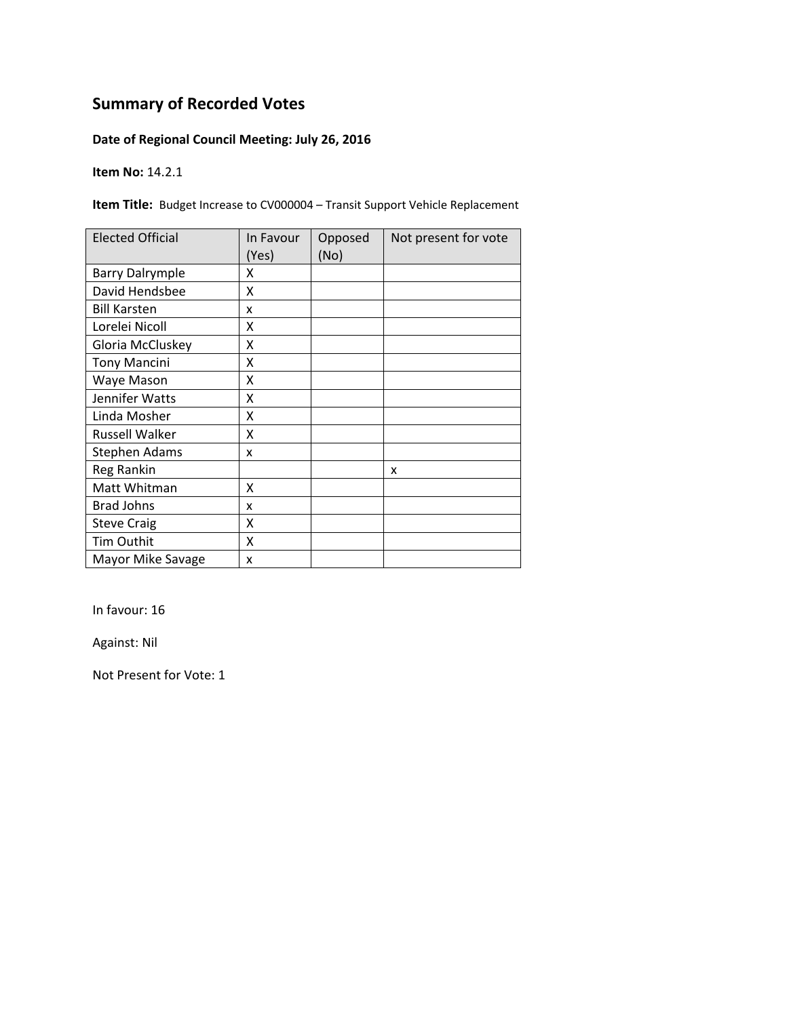### **Date of Regional Council Meeting: July 26, 2016**

**Item No:** 14.2.1

**Item Title:** Budget Increase to CV000004 – Transit Support Vehicle Replacement

| <b>Elected Official</b> | In Favour<br>(Yes) | Opposed<br>(No) | Not present for vote |
|-------------------------|--------------------|-----------------|----------------------|
| <b>Barry Dalrymple</b>  | x                  |                 |                      |
| David Hendsbee          | X                  |                 |                      |
| <b>Bill Karsten</b>     | x                  |                 |                      |
| Lorelei Nicoll          | x                  |                 |                      |
| Gloria McCluskey        | Χ                  |                 |                      |
| <b>Tony Mancini</b>     | Χ                  |                 |                      |
| Waye Mason              | Χ                  |                 |                      |
| Jennifer Watts          | x                  |                 |                      |
| Linda Mosher            | x                  |                 |                      |
| Russell Walker          | X                  |                 |                      |
| <b>Stephen Adams</b>    | x                  |                 |                      |
| Reg Rankin              |                    |                 | x                    |
| Matt Whitman            | X                  |                 |                      |
| <b>Brad Johns</b>       | x                  |                 |                      |
| <b>Steve Craig</b>      | Χ                  |                 |                      |
| Tim Outhit              | X                  |                 |                      |
| Mayor Mike Savage       | X                  |                 |                      |

In favour: 16

Against: Nil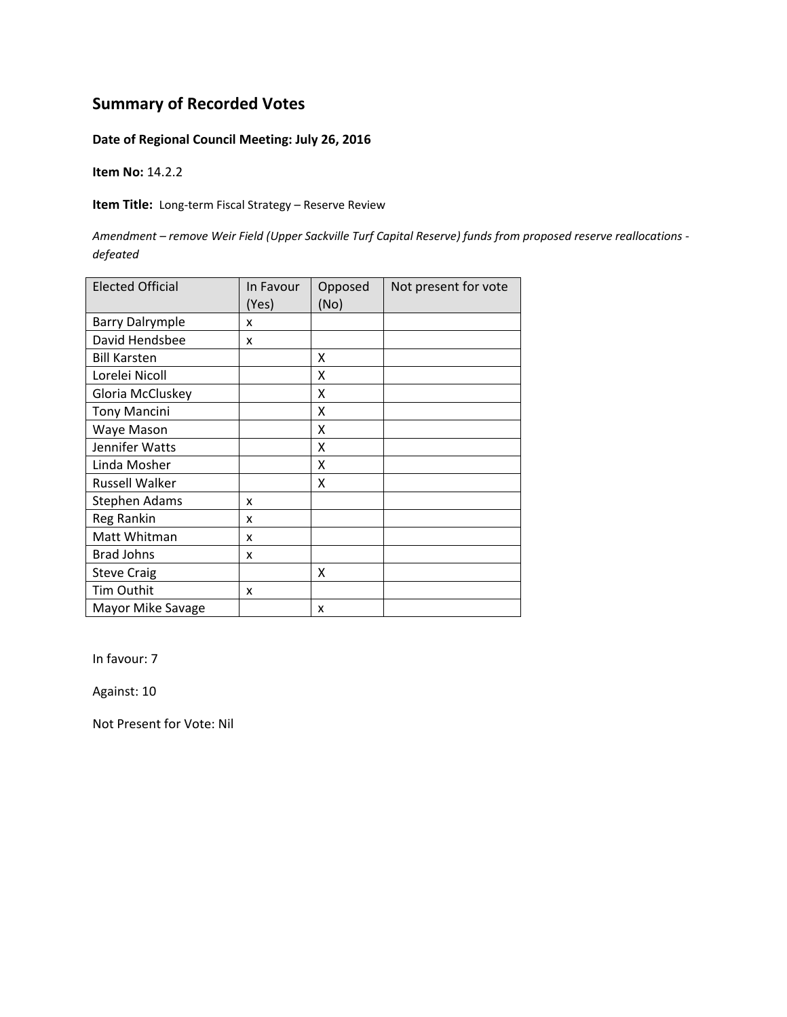#### **Date of Regional Council Meeting: July 26, 2016**

**Item No:** 14.2.2

**Item Title:** Long‐term Fiscal Strategy – Reserve Review

Amendment - remove Weir Field (Upper Sackville Turf Capital Reserve) funds from proposed reserve reallocations *defeated*

| <b>Elected Official</b> | In Favour<br>(Yes) | Opposed<br>(No) | Not present for vote |
|-------------------------|--------------------|-----------------|----------------------|
| <b>Barry Dalrymple</b>  | x                  |                 |                      |
| David Hendsbee          | x                  |                 |                      |
| <b>Bill Karsten</b>     |                    | X               |                      |
| Lorelei Nicoll          |                    | x               |                      |
| Gloria McCluskey        |                    | x               |                      |
| <b>Tony Mancini</b>     |                    | x               |                      |
| Waye Mason              |                    | x               |                      |
| Jennifer Watts          |                    | X               |                      |
| Linda Mosher            |                    | X               |                      |
| <b>Russell Walker</b>   |                    | X               |                      |
| Stephen Adams           | x                  |                 |                      |
| Reg Rankin              | x                  |                 |                      |
| Matt Whitman            | x                  |                 |                      |
| <b>Brad Johns</b>       | x                  |                 |                      |
| <b>Steve Craig</b>      |                    | x               |                      |
| Tim Outhit              | x                  |                 |                      |
| Mayor Mike Savage       |                    | x               |                      |

In favour: 7

Against: 10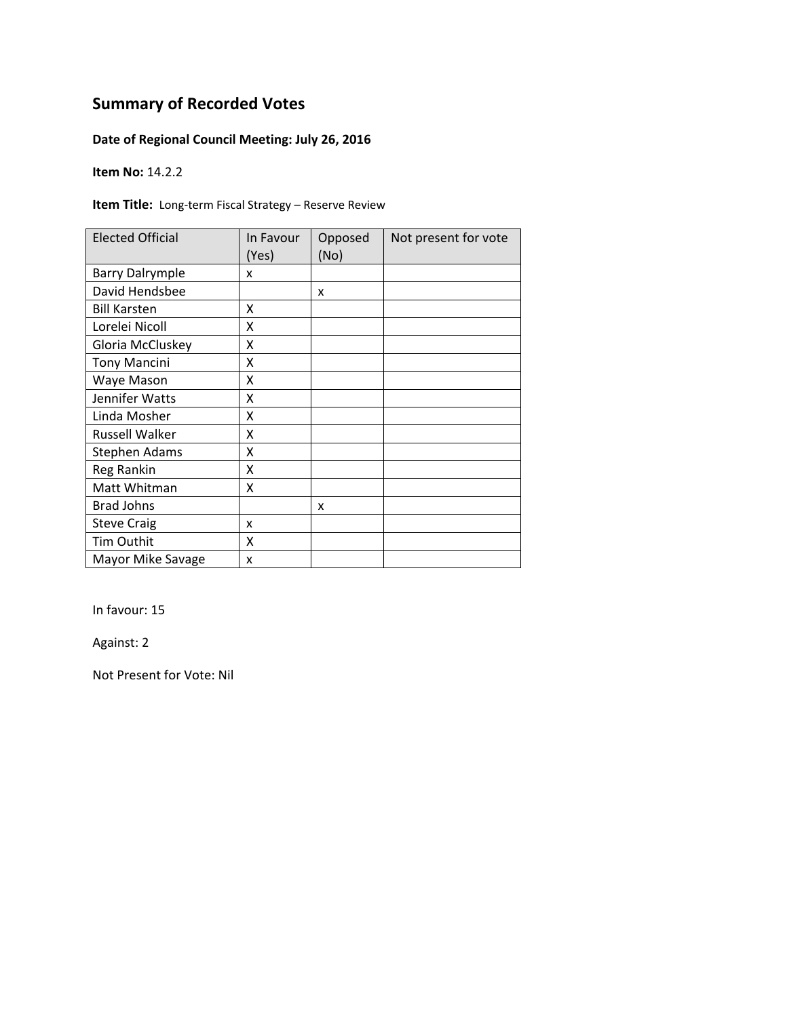### **Date of Regional Council Meeting: July 26, 2016**

**Item No:** 14.2.2

**Item Title:** Long-term Fiscal Strategy – Reserve Review

| <b>Elected Official</b> | In Favour<br>(Yes) | Opposed<br>(No) | Not present for vote |
|-------------------------|--------------------|-----------------|----------------------|
| <b>Barry Dalrymple</b>  | x                  |                 |                      |
| David Hendsbee          |                    | x               |                      |
| <b>Bill Karsten</b>     | x                  |                 |                      |
| Lorelei Nicoll          | X                  |                 |                      |
| Gloria McCluskey        | Χ                  |                 |                      |
| <b>Tony Mancini</b>     | Χ                  |                 |                      |
| Waye Mason              | Χ                  |                 |                      |
| Jennifer Watts          | x                  |                 |                      |
| Linda Mosher            | x                  |                 |                      |
| <b>Russell Walker</b>   | χ                  |                 |                      |
| Stephen Adams           | X                  |                 |                      |
| Reg Rankin              | X                  |                 |                      |
| Matt Whitman            | Χ                  |                 |                      |
| <b>Brad Johns</b>       |                    | x               |                      |
| <b>Steve Craig</b>      | x                  |                 |                      |
| <b>Tim Outhit</b>       | X                  |                 |                      |
| Mayor Mike Savage       | X                  |                 |                      |

In favour: 15

Against: 2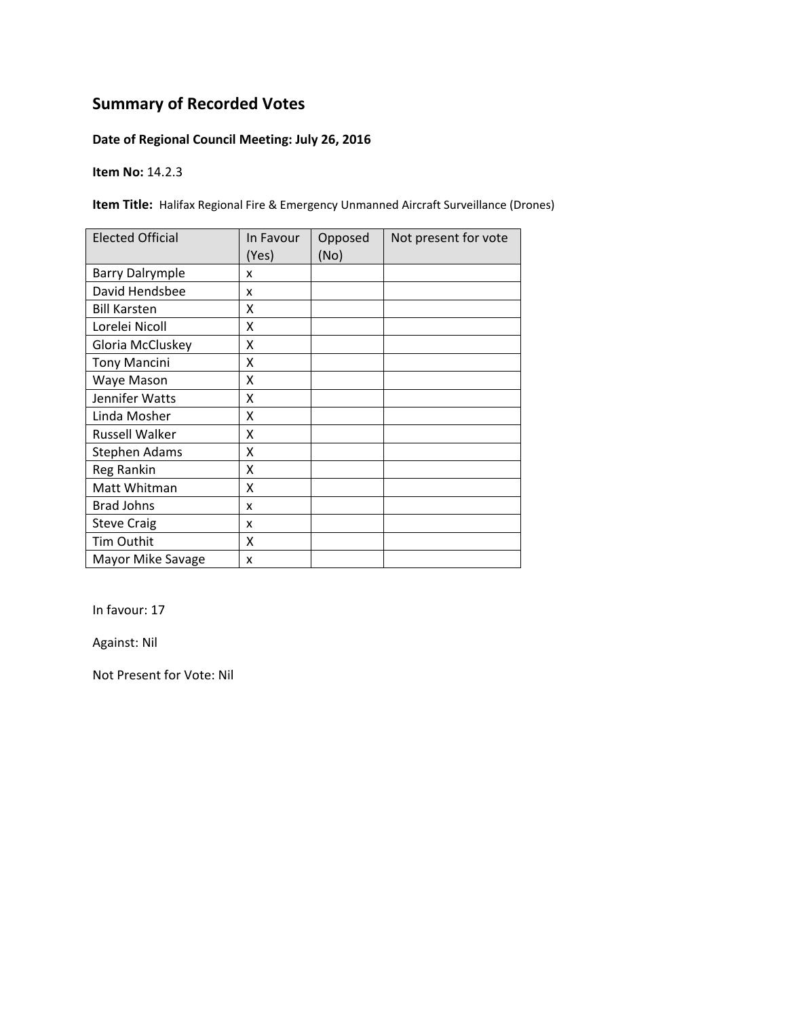### **Date of Regional Council Meeting: July 26, 2016**

**Item No:** 14.2.3

**Item Title:** Halifax Regional Fire & Emergency Unmanned Aircraft Surveillance (Drones)

| <b>Elected Official</b> | In Favour<br>(Yes) | Opposed<br>(No) | Not present for vote |
|-------------------------|--------------------|-----------------|----------------------|
| <b>Barry Dalrymple</b>  | x                  |                 |                      |
| David Hendsbee          | x                  |                 |                      |
| <b>Bill Karsten</b>     | χ                  |                 |                      |
| Lorelei Nicoll          | X                  |                 |                      |
| Gloria McCluskey        | Χ                  |                 |                      |
| <b>Tony Mancini</b>     | Χ                  |                 |                      |
| Waye Mason              | Χ                  |                 |                      |
| Jennifer Watts          | x                  |                 |                      |
| Linda Mosher            | χ                  |                 |                      |
| Russell Walker          | X                  |                 |                      |
| <b>Stephen Adams</b>    | X                  |                 |                      |
| Reg Rankin              | Χ                  |                 |                      |
| Matt Whitman            | X                  |                 |                      |
| <b>Brad Johns</b>       | x                  |                 |                      |
| <b>Steve Craig</b>      | x                  |                 |                      |
| Tim Outhit              | Χ                  |                 |                      |
| Mayor Mike Savage       | X                  |                 |                      |

In favour: 17

Against: Nil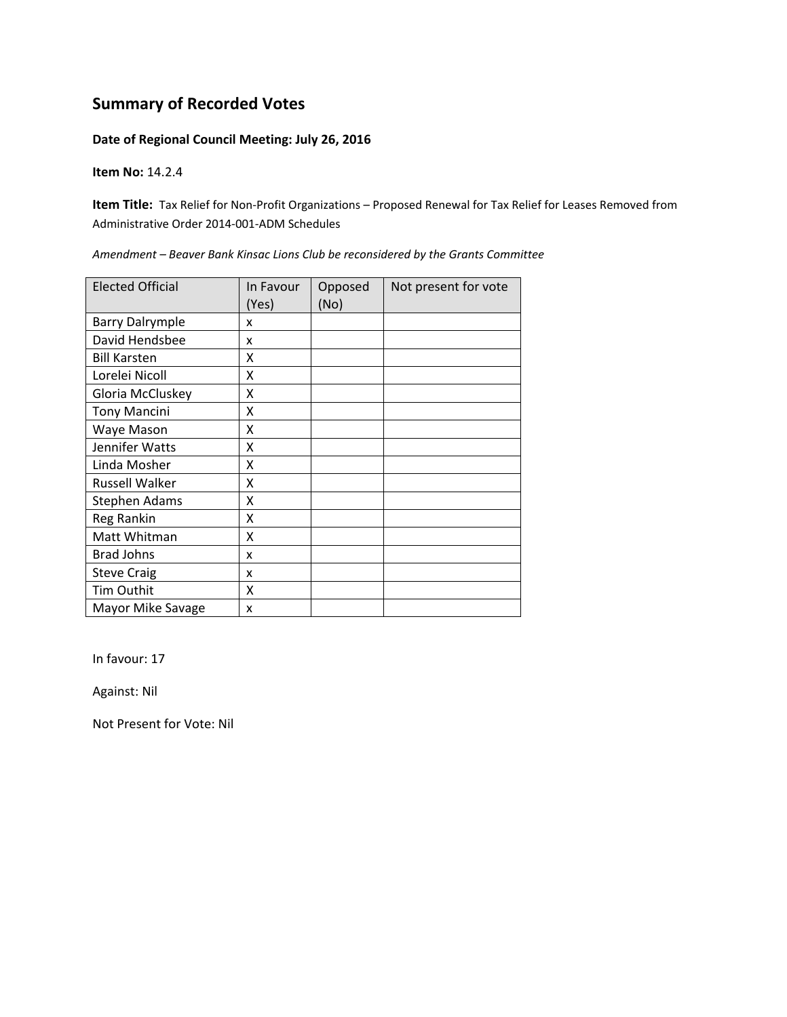#### **Date of Regional Council Meeting: July 26, 2016**

#### **Item No:** 14.2.4

**Item Title:** Tax Relief for Non-Profit Organizations – Proposed Renewal for Tax Relief for Leases Removed from Administrative Order 2014‐001‐ADM Schedules

| <b>Elected Official</b> | In Favour<br>(Yes) | Opposed<br>(No) | Not present for vote |
|-------------------------|--------------------|-----------------|----------------------|
| <b>Barry Dalrymple</b>  | X                  |                 |                      |
| David Hendsbee          | X                  |                 |                      |
| <b>Bill Karsten</b>     | x                  |                 |                      |
| Lorelei Nicoll          | X                  |                 |                      |
| Gloria McCluskey        | X                  |                 |                      |
| <b>Tony Mancini</b>     | x                  |                 |                      |
| Waye Mason              | Χ                  |                 |                      |
| Jennifer Watts          | Χ                  |                 |                      |
| Linda Mosher            | X                  |                 |                      |
| <b>Russell Walker</b>   | X                  |                 |                      |
| <b>Stephen Adams</b>    | X                  |                 |                      |
| Reg Rankin              | X                  |                 |                      |
| Matt Whitman            | X                  |                 |                      |
| <b>Brad Johns</b>       | x                  |                 |                      |
| <b>Steve Craig</b>      | x                  |                 |                      |
| Tim Outhit              | X                  |                 |                      |
| Mayor Mike Savage       | x                  |                 |                      |

*Amendment – Beaver Bank Kinsac Lions Club be reconsidered by the Grants Committee*

In favour: 17

Against: Nil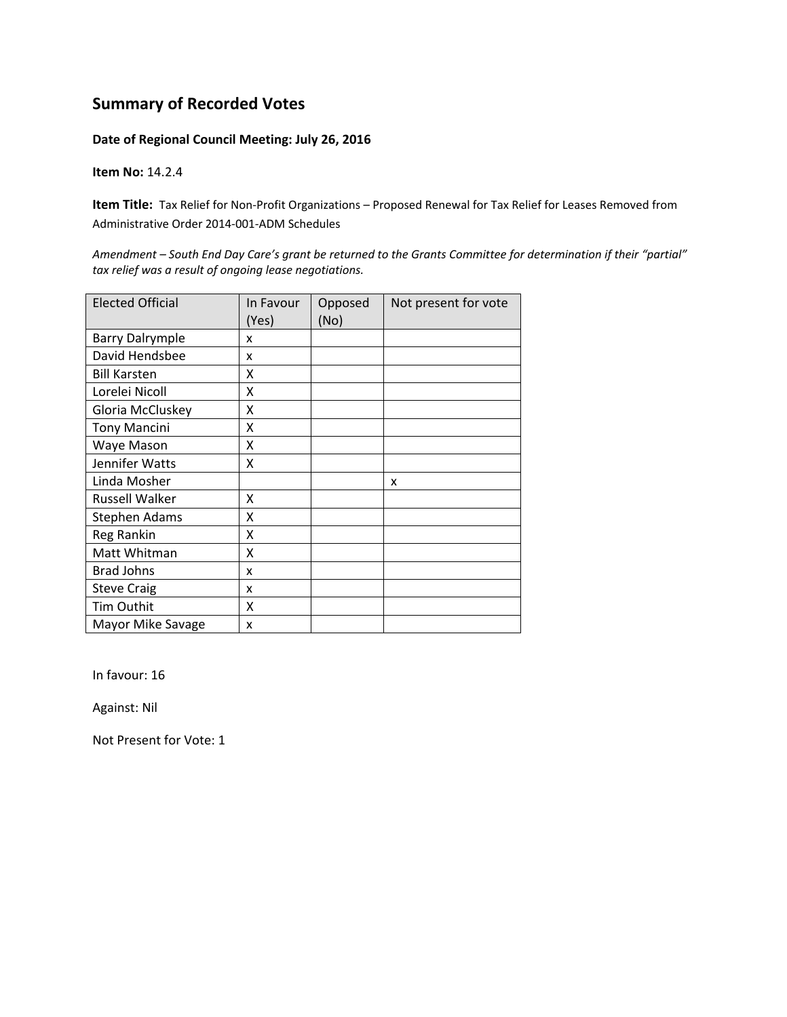#### **Date of Regional Council Meeting: July 26, 2016**

**Item No:** 14.2.4

**Item Title:** Tax Relief for Non-Profit Organizations – Proposed Renewal for Tax Relief for Leases Removed from Administrative Order 2014‐001‐ADM Schedules

Amendment - South End Day Care's grant be returned to the Grants Committee for determination if their "partial" *tax relief was a result of ongoing lease negotiations.*

| <b>Elected Official</b> | In Favour<br>(Yes) | Opposed<br>(No) | Not present for vote |
|-------------------------|--------------------|-----------------|----------------------|
| <b>Barry Dalrymple</b>  | x                  |                 |                      |
| David Hendsbee          | x                  |                 |                      |
| <b>Bill Karsten</b>     | x                  |                 |                      |
| Lorelei Nicoll          | x                  |                 |                      |
| Gloria McCluskey        | X                  |                 |                      |
| <b>Tony Mancini</b>     | Χ                  |                 |                      |
| Waye Mason              | Χ                  |                 |                      |
| Jennifer Watts          | x                  |                 |                      |
| Linda Mosher            |                    |                 | x                    |
| <b>Russell Walker</b>   | X                  |                 |                      |
| <b>Stephen Adams</b>    | Χ                  |                 |                      |
| Reg Rankin              | X                  |                 |                      |
| Matt Whitman            | X                  |                 |                      |
| <b>Brad Johns</b>       | x                  |                 |                      |
| <b>Steve Craig</b>      | x                  |                 |                      |
| Tim Outhit              | X                  |                 |                      |
| Mayor Mike Savage       | x                  |                 |                      |

In favour: 16

Against: Nil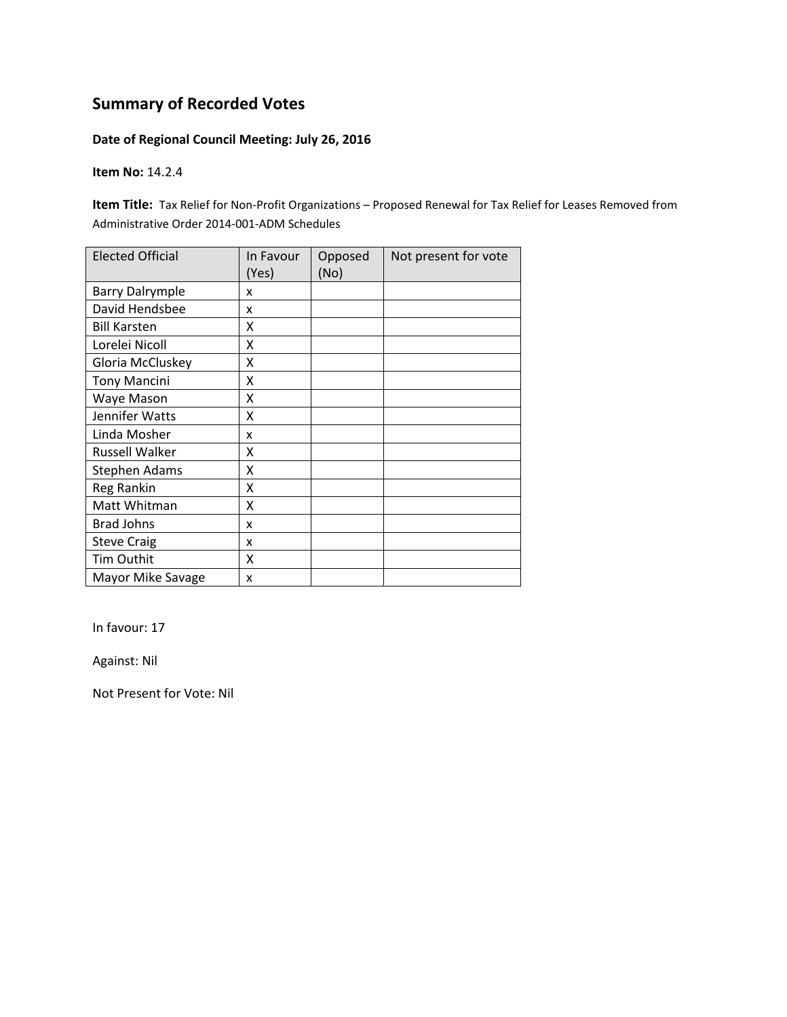### **Date of Regional Council Meeting: July 26, 2016**

**Item No:** 14.2.4

**Item Title:** Tax Relief for Non-Profit Organizations – Proposed Renewal for Tax Relief for Leases Removed from Administrative Order 2014‐001‐ADM Schedules

| <b>Elected Official</b> | In Favour<br>(Yes) | Opposed<br>(No) | Not present for vote |
|-------------------------|--------------------|-----------------|----------------------|
| <b>Barry Dalrymple</b>  | x                  |                 |                      |
| David Hendsbee          | x                  |                 |                      |
| <b>Bill Karsten</b>     | x                  |                 |                      |
| Lorelei Nicoll          | Χ                  |                 |                      |
| Gloria McCluskey        | X                  |                 |                      |
| <b>Tony Mancini</b>     | X                  |                 |                      |
| Waye Mason              | X                  |                 |                      |
| Jennifer Watts          | Χ                  |                 |                      |
| Linda Mosher            | x                  |                 |                      |
| Russell Walker          | x                  |                 |                      |
| <b>Stephen Adams</b>    | x                  |                 |                      |
| Reg Rankin              | Χ                  |                 |                      |
| Matt Whitman            | Χ                  |                 |                      |
| <b>Brad Johns</b>       | x                  |                 |                      |
| <b>Steve Craig</b>      | x                  |                 |                      |
| Tim Outhit              | Χ                  |                 |                      |
| Mayor Mike Savage       | x                  |                 |                      |

In favour: 17

Against: Nil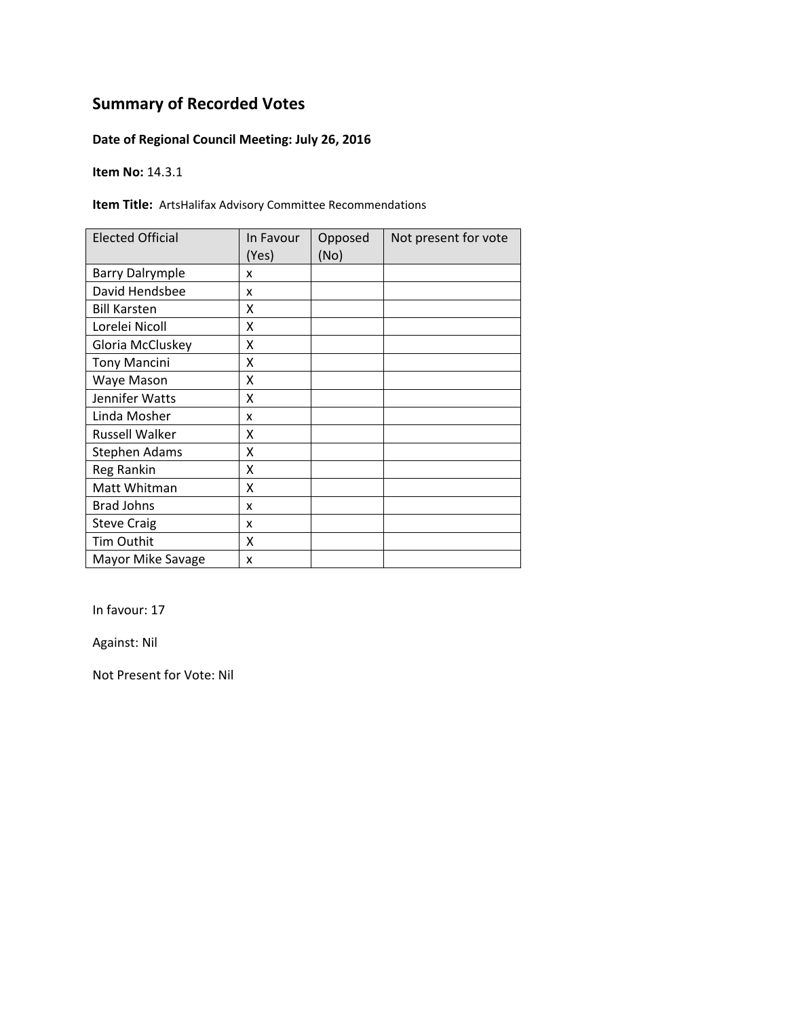### **Date of Regional Council Meeting: July 26, 2016**

**Item No:** 14.3.1

**Item Title:** ArtsHalifax Advisory Committee Recommendations

| <b>Elected Official</b> | In Favour<br>(Yes) | Opposed<br>(No) | Not present for vote |
|-------------------------|--------------------|-----------------|----------------------|
| <b>Barry Dalrymple</b>  | x                  |                 |                      |
| David Hendsbee          | x                  |                 |                      |
| <b>Bill Karsten</b>     | x                  |                 |                      |
| Lorelei Nicoll          | X                  |                 |                      |
| Gloria McCluskey        | Χ                  |                 |                      |
| <b>Tony Mancini</b>     | Χ                  |                 |                      |
| Waye Mason              | Χ                  |                 |                      |
| Jennifer Watts          | x                  |                 |                      |
| Linda Mosher            | x                  |                 |                      |
| <b>Russell Walker</b>   | χ                  |                 |                      |
| <b>Stephen Adams</b>    | x                  |                 |                      |
| Reg Rankin              | X                  |                 |                      |
| Matt Whitman            | X                  |                 |                      |
| <b>Brad Johns</b>       | x                  |                 |                      |
| <b>Steve Craig</b>      | x                  |                 |                      |
| <b>Tim Outhit</b>       | X                  |                 |                      |
| Mayor Mike Savage       | X                  |                 |                      |

In favour: 17

Against: Nil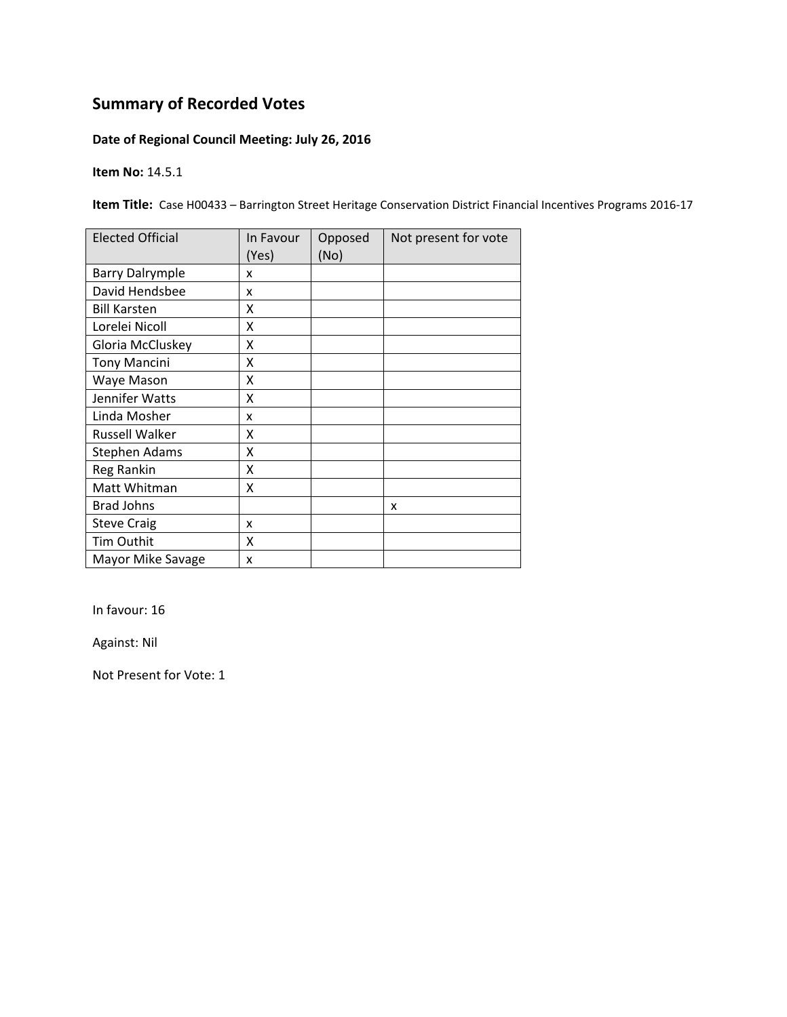### **Date of Regional Council Meeting: July 26, 2016**

**Item No:** 14.5.1

**Item Title:** Case H00433 – Barrington Street Heritage Conservation District Financial Incentives Programs 2016-17

| <b>Elected Official</b> | In Favour<br>(Yes) | Opposed<br>(No) | Not present for vote |
|-------------------------|--------------------|-----------------|----------------------|
| <b>Barry Dalrymple</b>  | x                  |                 |                      |
| David Hendsbee          | x                  |                 |                      |
| <b>Bill Karsten</b>     | x                  |                 |                      |
| Lorelei Nicoll          | Χ                  |                 |                      |
| Gloria McCluskey        | Χ                  |                 |                      |
| <b>Tony Mancini</b>     | Χ                  |                 |                      |
| Waye Mason              | x                  |                 |                      |
| Jennifer Watts          | Χ                  |                 |                      |
| Linda Mosher            | x                  |                 |                      |
| <b>Russell Walker</b>   | X                  |                 |                      |
| <b>Stephen Adams</b>    | X                  |                 |                      |
| Reg Rankin              | Χ                  |                 |                      |
| Matt Whitman            | X                  |                 |                      |
| <b>Brad Johns</b>       |                    |                 | x                    |
| <b>Steve Craig</b>      | x                  |                 |                      |
| Tim Outhit              | X                  |                 |                      |
| Mayor Mike Savage       | X                  |                 |                      |

In favour: 16

Against: Nil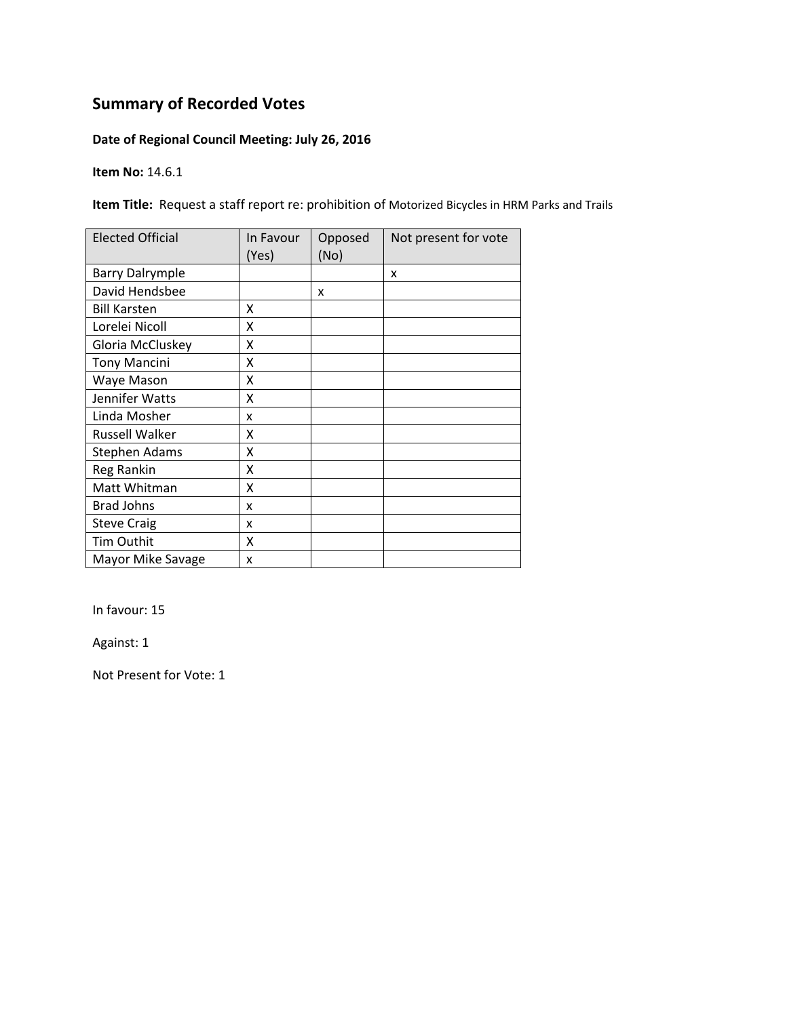### **Date of Regional Council Meeting: July 26, 2016**

**Item No:** 14.6.1

**Item Title:** Request a staff report re: prohibition of Motorized Bicycles in HRM Parks and Trails

| <b>Elected Official</b> | In Favour<br>(Yes) | Opposed<br>(No) | Not present for vote |
|-------------------------|--------------------|-----------------|----------------------|
| <b>Barry Dalrymple</b>  |                    |                 | X                    |
| David Hendsbee          |                    | x               |                      |
| <b>Bill Karsten</b>     | x                  |                 |                      |
| Lorelei Nicoll          | X                  |                 |                      |
| Gloria McCluskey        | Χ                  |                 |                      |
| <b>Tony Mancini</b>     | Χ                  |                 |                      |
| Waye Mason              | x                  |                 |                      |
| Jennifer Watts          | x                  |                 |                      |
| Linda Mosher            | x                  |                 |                      |
| Russell Walker          | x                  |                 |                      |
| <b>Stephen Adams</b>    | X                  |                 |                      |
| Reg Rankin              | X                  |                 |                      |
| Matt Whitman            | X                  |                 |                      |
| <b>Brad Johns</b>       | x                  |                 |                      |
| <b>Steve Craig</b>      | x                  |                 |                      |
| Tim Outhit              | X                  |                 |                      |
| Mayor Mike Savage       | X                  |                 |                      |

In favour: 15

Against: 1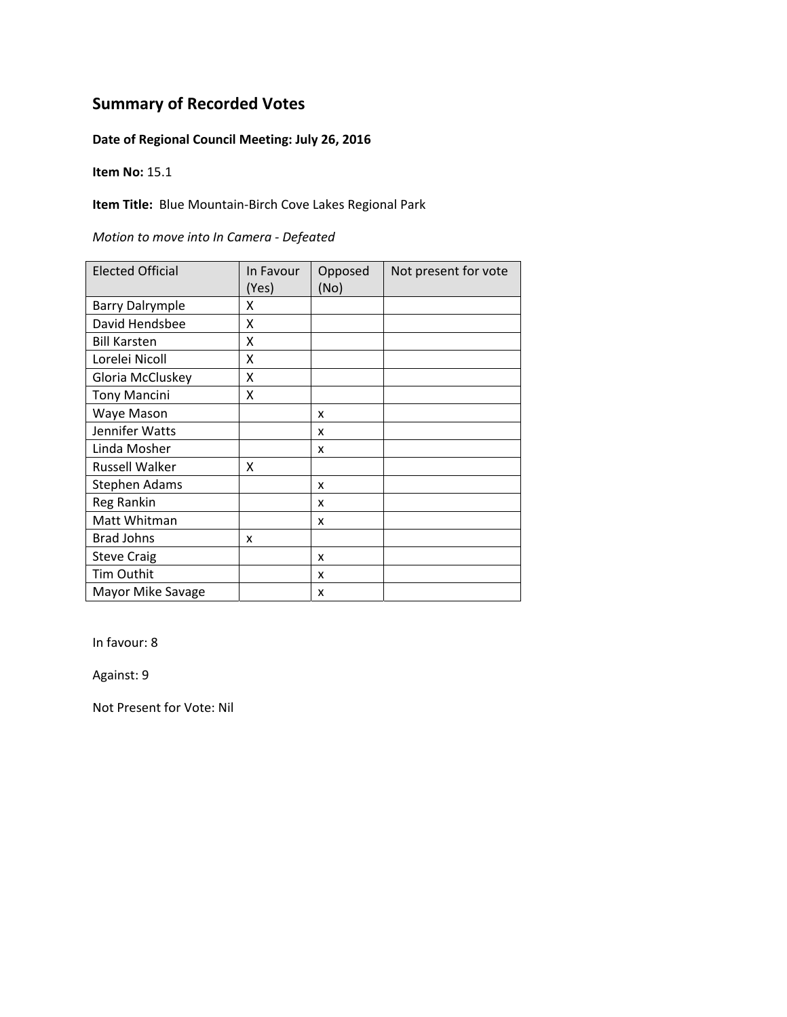### **Date of Regional Council Meeting: July 26, 2016**

**Item No:** 15.1

**Item Title:** Blue Mountain‐Birch Cove Lakes Regional Park

| Motion to move into In Camera - Defeated |  |  |  |
|------------------------------------------|--|--|--|
|------------------------------------------|--|--|--|

| <b>Elected Official</b> | In Favour<br>(Yes) | Opposed<br>(No) | Not present for vote |
|-------------------------|--------------------|-----------------|----------------------|
| <b>Barry Dalrymple</b>  | x                  |                 |                      |
| David Hendsbee          | X                  |                 |                      |
| <b>Bill Karsten</b>     | X                  |                 |                      |
| Lorelei Nicoll          | X                  |                 |                      |
| Gloria McCluskey        | X                  |                 |                      |
| <b>Tony Mancini</b>     | X                  |                 |                      |
| Waye Mason              |                    | x               |                      |
| Jennifer Watts          |                    | x               |                      |
| Linda Mosher            |                    | x               |                      |
| Russell Walker          | x                  |                 |                      |
| <b>Stephen Adams</b>    |                    | x               |                      |
| Reg Rankin              |                    | x               |                      |
| Matt Whitman            |                    | x               |                      |
| <b>Brad Johns</b>       | x                  |                 |                      |
| <b>Steve Craig</b>      |                    | X               |                      |
| Tim Outhit              |                    | x               |                      |
| Mayor Mike Savage       |                    | x               |                      |

In favour: 8

Against: 9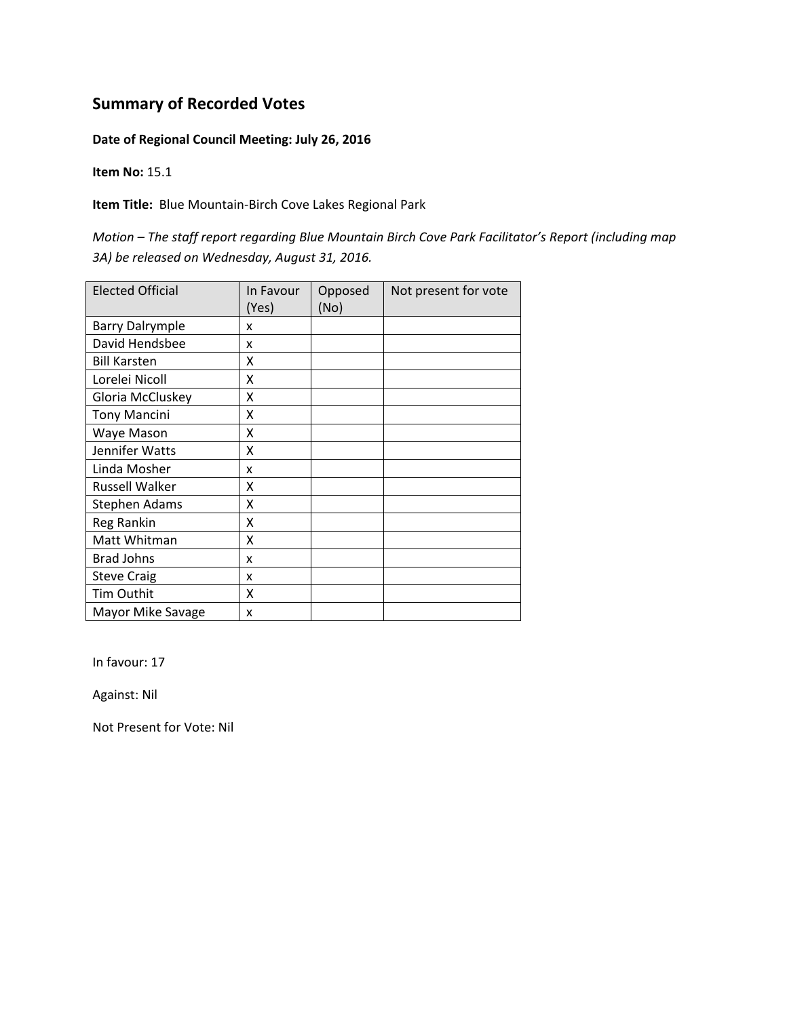#### **Date of Regional Council Meeting: July 26, 2016**

**Item No:** 15.1

**Item Title:** Blue Mountain‐Birch Cove Lakes Regional Park

*Motion – The staff report regarding Blue Mountain Birch Cove Park Facilitator's Report (including map 3A) be released on Wednesday, August 31, 2016.*

| <b>Elected Official</b> | In Favour<br>(Yes) | Opposed<br>(No) | Not present for vote |
|-------------------------|--------------------|-----------------|----------------------|
| <b>Barry Dalrymple</b>  | x                  |                 |                      |
| David Hendsbee          | x                  |                 |                      |
| <b>Bill Karsten</b>     | x                  |                 |                      |
| Lorelei Nicoll          | X                  |                 |                      |
| Gloria McCluskey        | X                  |                 |                      |
| <b>Tony Mancini</b>     | X                  |                 |                      |
| Waye Mason              | x                  |                 |                      |
| Jennifer Watts          | x                  |                 |                      |
| Linda Mosher            | x                  |                 |                      |
| Russell Walker          | x                  |                 |                      |
| <b>Stephen Adams</b>    | X                  |                 |                      |
| Reg Rankin              | Χ                  |                 |                      |
| Matt Whitman            | Χ                  |                 |                      |
| <b>Brad Johns</b>       | x                  |                 |                      |
| <b>Steve Craig</b>      | x                  |                 |                      |
| Tim Outhit              | X                  |                 |                      |
| Mayor Mike Savage       | x                  |                 |                      |

In favour: 17

Against: Nil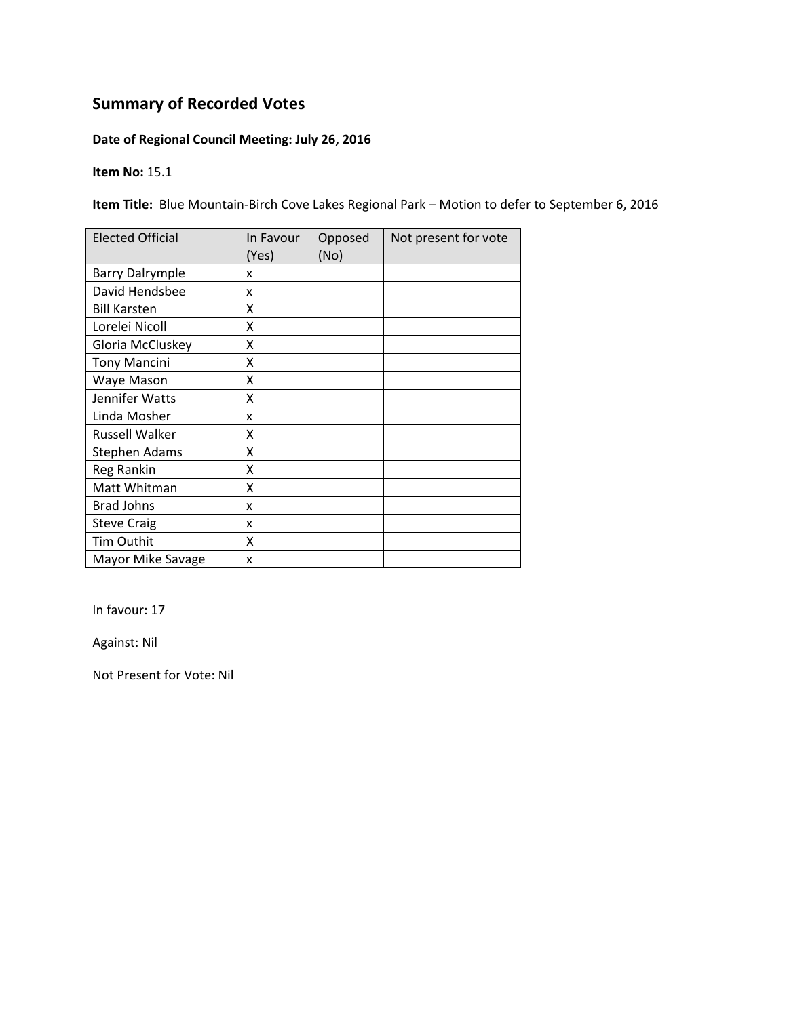### **Date of Regional Council Meeting: July 26, 2016**

**Item No:** 15.1

**Item Title:** Blue Mountain‐Birch Cove Lakes Regional Park – Motion to defer to September 6, 2016

| <b>Elected Official</b> | In Favour<br>(Yes) | Opposed<br>(No) | Not present for vote |
|-------------------------|--------------------|-----------------|----------------------|
| <b>Barry Dalrymple</b>  | x                  |                 |                      |
| David Hendsbee          | x                  |                 |                      |
| <b>Bill Karsten</b>     | x                  |                 |                      |
| Lorelei Nicoll          | X                  |                 |                      |
| Gloria McCluskey        | Χ                  |                 |                      |
| <b>Tony Mancini</b>     | Χ                  |                 |                      |
| Waye Mason              | Χ                  |                 |                      |
| Jennifer Watts          | x                  |                 |                      |
| Linda Mosher            | x                  |                 |                      |
| Russell Walker          | χ                  |                 |                      |
| <b>Stephen Adams</b>    | X                  |                 |                      |
| Reg Rankin              | X                  |                 |                      |
| Matt Whitman            | Χ                  |                 |                      |
| <b>Brad Johns</b>       | x                  |                 |                      |
| <b>Steve Craig</b>      | x                  |                 |                      |
| Tim Outhit              | Χ                  |                 |                      |
| Mayor Mike Savage       | X                  |                 |                      |

In favour: 17

Against: Nil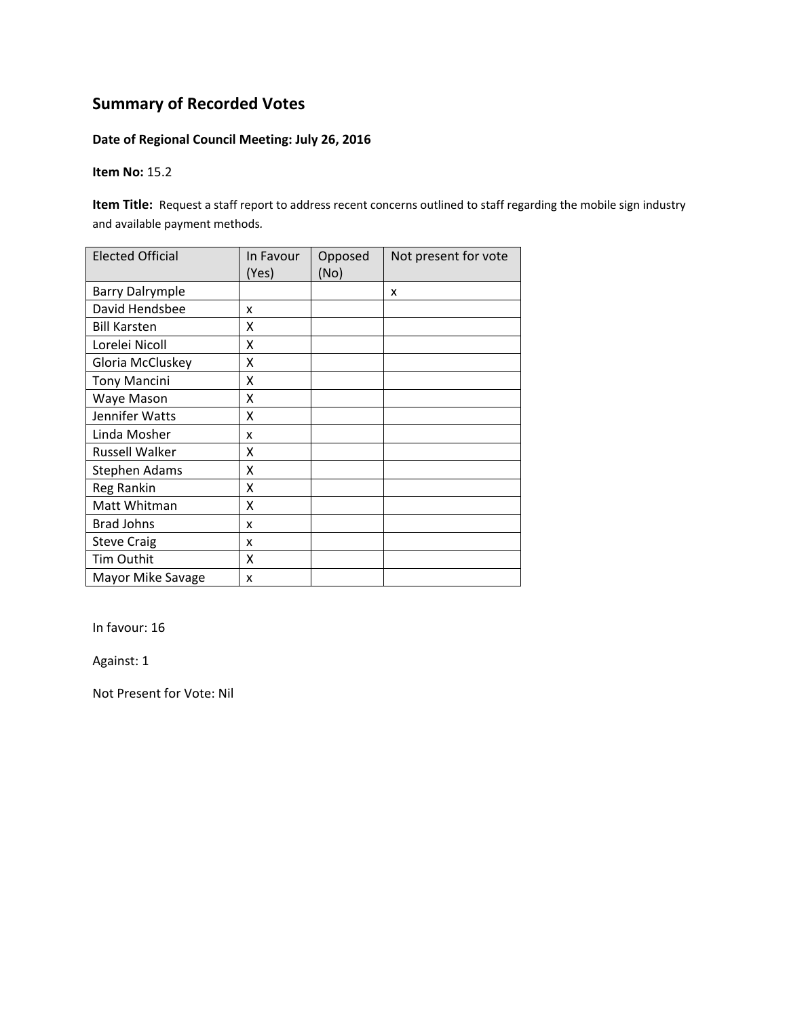### **Date of Regional Council Meeting: July 26, 2016**

**Item No:** 15.2

**Item Title:** Request a staff report to address recent concerns outlined to staff regarding the mobile sign industry and available payment methods*.*

| <b>Elected Official</b> | In Favour<br>(Yes) | Opposed<br>(No) | Not present for vote |
|-------------------------|--------------------|-----------------|----------------------|
| <b>Barry Dalrymple</b>  |                    |                 | X                    |
| David Hendsbee          | x                  |                 |                      |
| <b>Bill Karsten</b>     | X                  |                 |                      |
| Lorelei Nicoll          | X                  |                 |                      |
| Gloria McCluskey        | Χ                  |                 |                      |
| <b>Tony Mancini</b>     | Χ                  |                 |                      |
| Waye Mason              | Χ                  |                 |                      |
| Jennifer Watts          | X                  |                 |                      |
| Linda Mosher            | x                  |                 |                      |
| Russell Walker          | Χ                  |                 |                      |
| <b>Stephen Adams</b>    | Χ                  |                 |                      |
| Reg Rankin              | X                  |                 |                      |
| Matt Whitman            | Χ                  |                 |                      |
| <b>Brad Johns</b>       | x                  |                 |                      |
| <b>Steve Craig</b>      | x                  |                 |                      |
| Tim Outhit              | X                  |                 |                      |
| Mayor Mike Savage       | x                  |                 |                      |

In favour: 16

Against: 1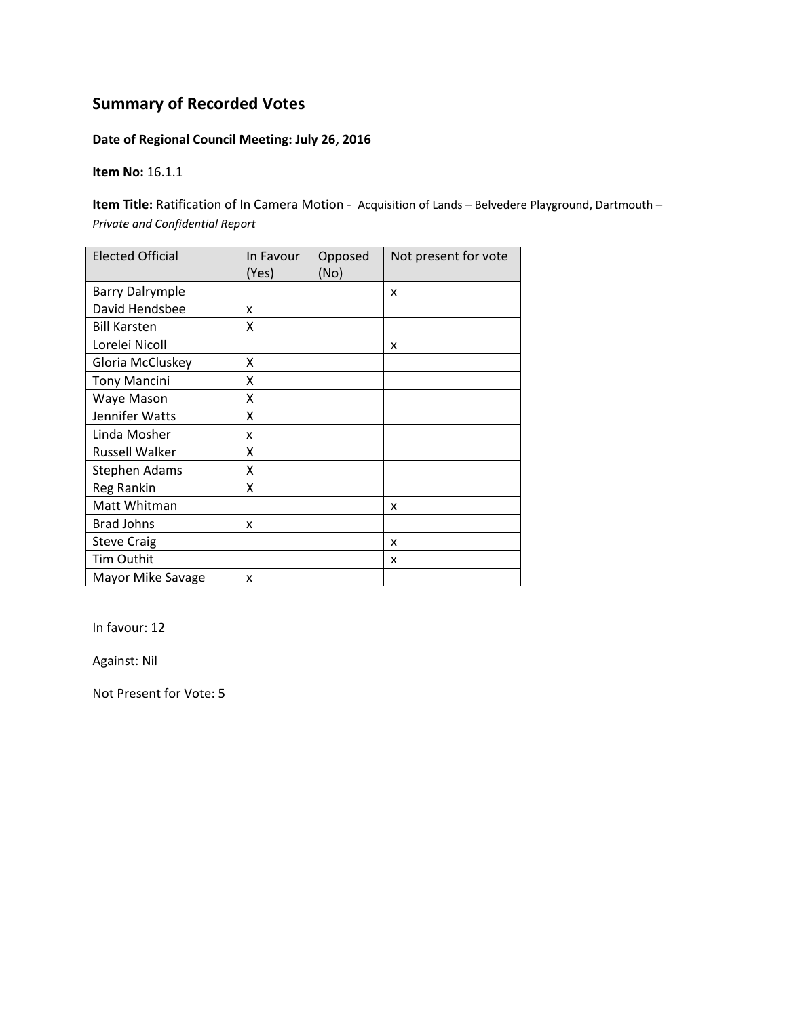### **Date of Regional Council Meeting: July 26, 2016**

**Item No:** 16.1.1

**Item Title:** Ratification of In Camera Motion ‐ Acquisition of Lands – Belvedere Playground, Dartmouth – *Private and Confidential Report*

| <b>Elected Official</b> | In Favour<br>(Yes) | Opposed<br>(No) | Not present for vote |
|-------------------------|--------------------|-----------------|----------------------|
| <b>Barry Dalrymple</b>  |                    |                 | X                    |
| David Hendsbee          | x                  |                 |                      |
| <b>Bill Karsten</b>     | X                  |                 |                      |
| Lorelei Nicoll          |                    |                 | x                    |
| Gloria McCluskey        | X                  |                 |                      |
| <b>Tony Mancini</b>     | x                  |                 |                      |
| Waye Mason              | x                  |                 |                      |
| Jennifer Watts          | Χ                  |                 |                      |
| Linda Mosher            | x                  |                 |                      |
| Russell Walker          | X                  |                 |                      |
| Stephen Adams           | Χ                  |                 |                      |
| Reg Rankin              | Χ                  |                 |                      |
| Matt Whitman            |                    |                 | x                    |
| <b>Brad Johns</b>       | x                  |                 |                      |
| <b>Steve Craig</b>      |                    |                 | X                    |
| Tim Outhit              |                    |                 | x                    |
| Mayor Mike Savage       | x                  |                 |                      |

In favour: 12

Against: Nil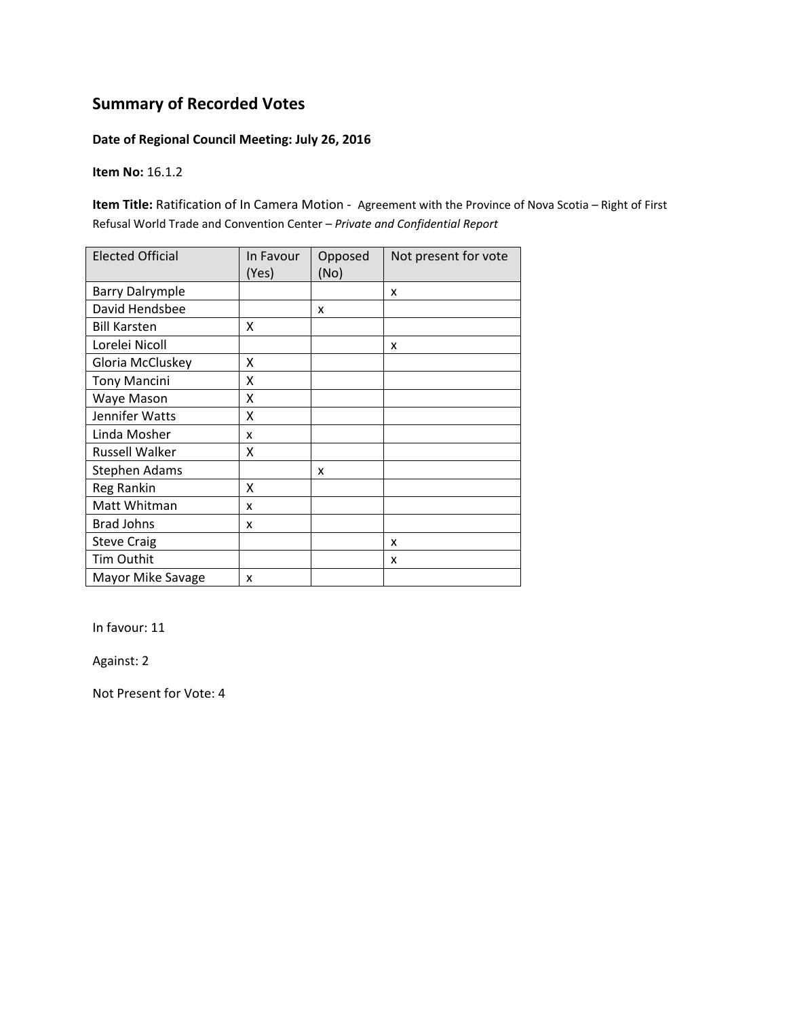#### **Date of Regional Council Meeting: July 26, 2016**

**Item No:** 16.1.2

**Item Title:** Ratification of In Camera Motion ‐ Agreement with the Province of Nova Scotia – Right of First Refusal World Trade and Convention Center – *Private and Confidential Report*

| <b>Elected Official</b> | In Favour<br>(Yes) | Opposed<br>(No) | Not present for vote |
|-------------------------|--------------------|-----------------|----------------------|
| <b>Barry Dalrymple</b>  |                    |                 | X                    |
| David Hendsbee          |                    | x               |                      |
| <b>Bill Karsten</b>     | X                  |                 |                      |
| Lorelei Nicoll          |                    |                 | x                    |
| Gloria McCluskey        | X                  |                 |                      |
| <b>Tony Mancini</b>     | X                  |                 |                      |
| Waye Mason              | Χ                  |                 |                      |
| Jennifer Watts          | X                  |                 |                      |
| Linda Mosher            | x                  |                 |                      |
| <b>Russell Walker</b>   | Χ                  |                 |                      |
| <b>Stephen Adams</b>    |                    | x               |                      |
| Reg Rankin              | χ                  |                 |                      |
| Matt Whitman            | x                  |                 |                      |
| <b>Brad Johns</b>       | x                  |                 |                      |
| <b>Steve Craig</b>      |                    |                 | X                    |
| Tim Outhit              |                    |                 | X                    |
| Mayor Mike Savage       | x                  |                 |                      |

In favour: 11

Against: 2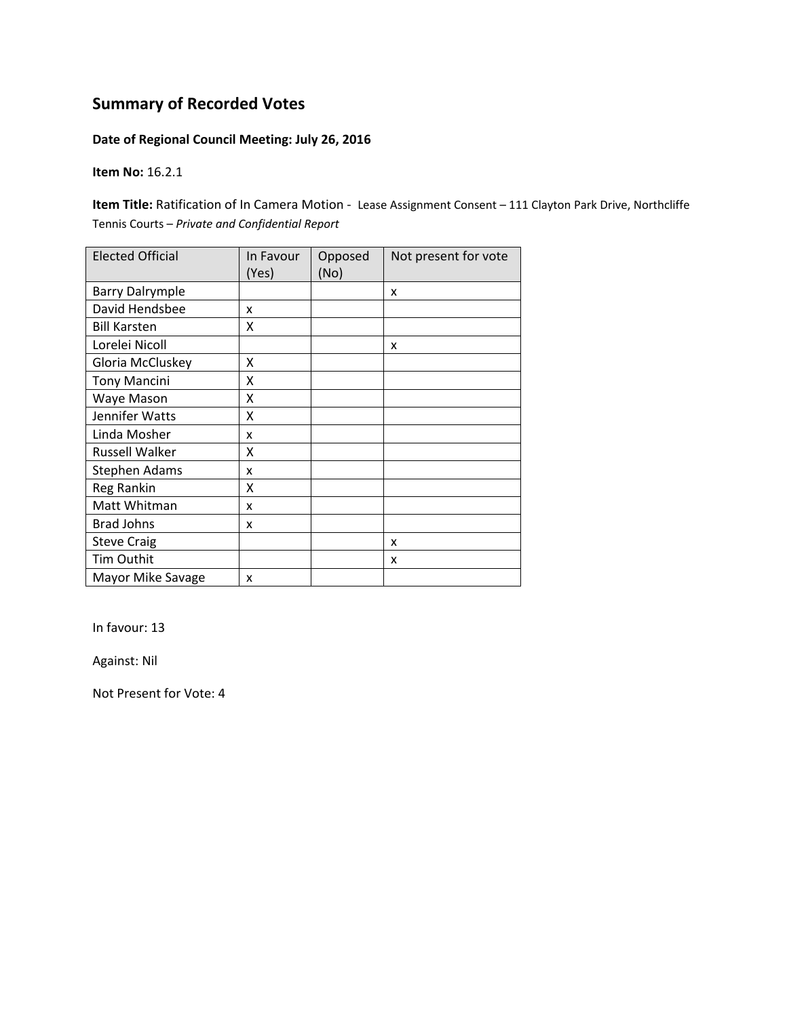### **Date of Regional Council Meeting: July 26, 2016**

**Item No:** 16.2.1

**Item Title:** Ratification of In Camera Motion ‐ Lease Assignment Consent – 111 Clayton Park Drive, Northcliffe Tennis Courts – *Private and Confidential Report*

| <b>Elected Official</b> | In Favour<br>(Yes) | Opposed<br>(No) | Not present for vote |
|-------------------------|--------------------|-----------------|----------------------|
| <b>Barry Dalrymple</b>  |                    |                 | x                    |
| David Hendsbee          | x                  |                 |                      |
| <b>Bill Karsten</b>     | x                  |                 |                      |
| Lorelei Nicoll          |                    |                 | x                    |
| Gloria McCluskey        | X                  |                 |                      |
| <b>Tony Mancini</b>     | X                  |                 |                      |
| Waye Mason              | X                  |                 |                      |
| Jennifer Watts          | X                  |                 |                      |
| Linda Mosher            | x                  |                 |                      |
| <b>Russell Walker</b>   | x                  |                 |                      |
| <b>Stephen Adams</b>    | x                  |                 |                      |
| Reg Rankin              | χ                  |                 |                      |
| Matt Whitman            | x                  |                 |                      |
| <b>Brad Johns</b>       | x                  |                 |                      |
| <b>Steve Craig</b>      |                    |                 | X                    |
| Tim Outhit              |                    |                 | x                    |
| Mayor Mike Savage       | x                  |                 |                      |

In favour: 13

Against: Nil